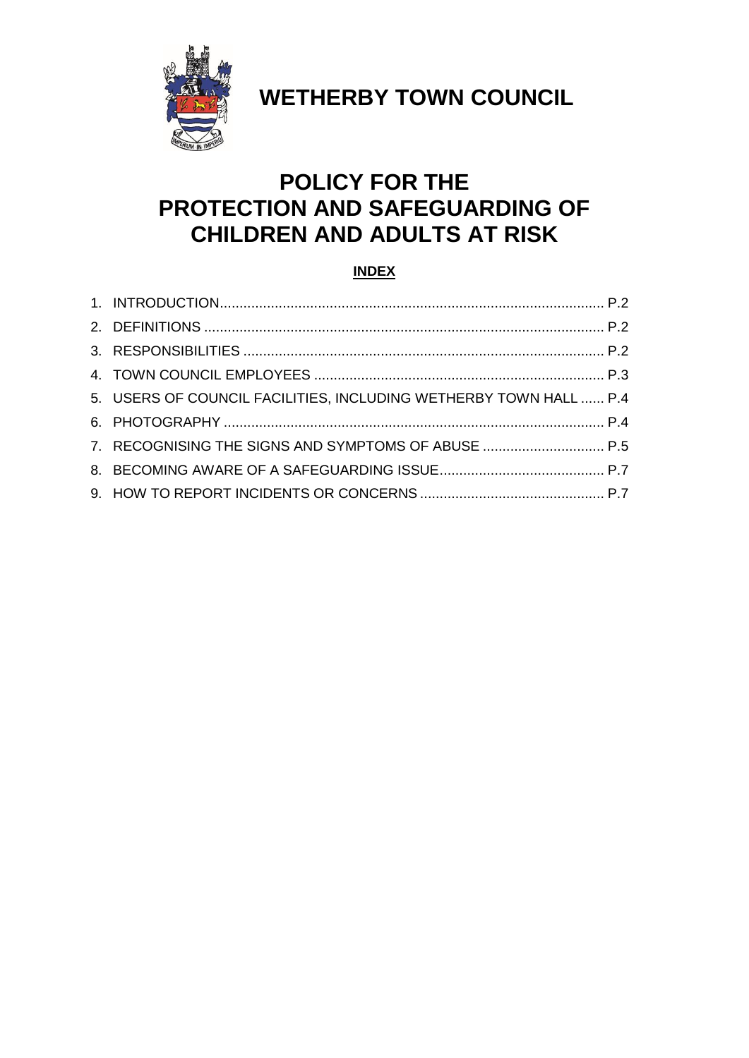

**WETHERBY TOWN COUNCIL**

# **POLICY FOR THE PROTECTION AND SAFEGUARDING OF CHILDREN AND ADULTS AT RISK**

# **INDEX**

| 5. USERS OF COUNCIL FACILITIES, INCLUDING WETHERBY TOWN HALL  P.4 |  |
|-------------------------------------------------------------------|--|
|                                                                   |  |
| 7. RECOGNISING THE SIGNS AND SYMPTOMS OF ABUSE  P.5               |  |
|                                                                   |  |
|                                                                   |  |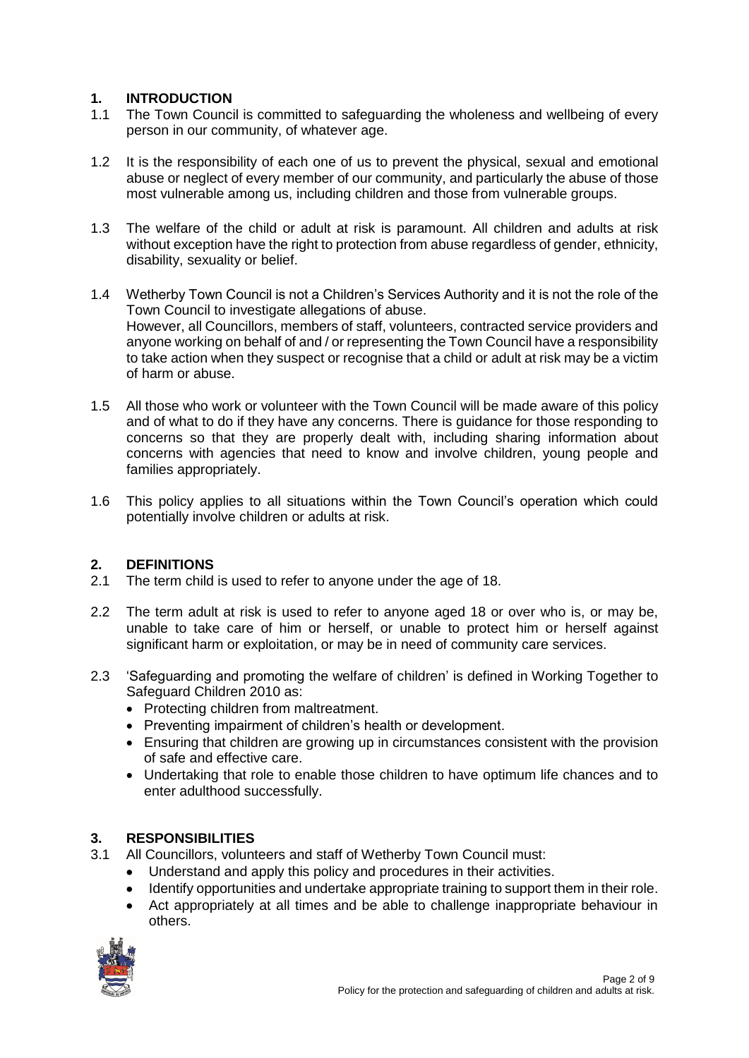# <span id="page-1-0"></span>**1. INTRODUCTION**

- 1.1 The Town Council is committed to safeguarding the wholeness and wellbeing of every person in our community, of whatever age.
- 1.2 It is the responsibility of each one of us to prevent the physical, sexual and emotional abuse or neglect of every member of our community, and particularly the abuse of those most vulnerable among us, including children and those from vulnerable groups.
- 1.3 The welfare of the child or adult at risk is paramount. All children and adults at risk without exception have the right to protection from abuse regardless of gender, ethnicity, disability, sexuality or belief.
- 1.4 Wetherby Town Council is not a Children's Services Authority and it is not the role of the Town Council to investigate allegations of abuse. However, all Councillors, members of staff, volunteers, contracted service providers and anyone working on behalf of and / or representing the Town Council have a responsibility to take action when they suspect or recognise that a child or adult at risk may be a victim of harm or abuse.
- 1.5 All those who work or volunteer with the Town Council will be made aware of this policy and of what to do if they have any concerns. There is guidance for those responding to concerns so that they are properly dealt with, including sharing information about concerns with agencies that need to know and involve children, young people and families appropriately.
- 1.6 This policy applies to all situations within the Town Council's operation which could potentially involve children or adults at risk.

# **2. DEFINITIONS**

- 2.1 The term child is used to refer to anyone under the age of 18.
- 2.2 The term adult at risk is used to refer to anyone aged 18 or over who is, or may be, unable to take care of him or herself, or unable to protect him or herself against significant harm or exploitation, or may be in need of community care services.
- 2.3 'Safeguarding and promoting the welfare of children' is defined in Working Together to Safeguard Children 2010 as:
	- Protecting children from maltreatment.
	- Preventing impairment of children's health or development.
	- Ensuring that children are growing up in circumstances consistent with the provision of safe and effective care.
	- Undertaking that role to enable those children to have optimum life chances and to enter adulthood successfully.

# **3. RESPONSIBILITIES**

- 3.1 All Councillors, volunteers and staff of Wetherby Town Council must:
	- Understand and apply this policy and procedures in their activities.
		- Identify opportunities and undertake appropriate training to support them in their role.
		- Act appropriately at all times and be able to challenge inappropriate behaviour in others.

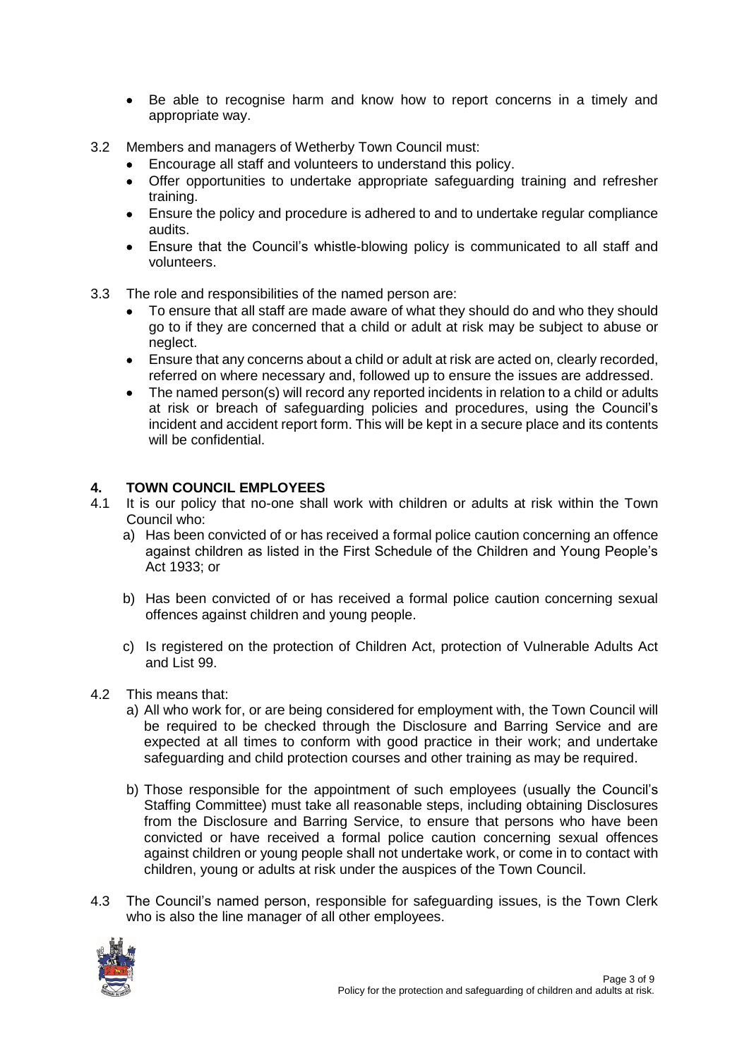- Be able to recognise harm and know how to report concerns in a timely and appropriate way.
- 3.2 Members and managers of Wetherby Town Council must:
	- Encourage all staff and volunteers to understand this policy.
	- Offer opportunities to undertake appropriate safeguarding training and refresher training.
	- Ensure the policy and procedure is adhered to and to undertake regular compliance audits.
	- Ensure that the Council's whistle-blowing policy is communicated to all staff and volunteers.
- 3.3 The role and responsibilities of the named person are:
	- To ensure that all staff are made aware of what they should do and who they should go to if they are concerned that a child or adult at risk may be subject to abuse or neglect.
	- Ensure that any concerns about a child or adult at risk are acted on, clearly recorded, referred on where necessary and, followed up to ensure the issues are addressed.
	- The named person(s) will record any reported incidents in relation to a child or adults at risk or breach of safeguarding policies and procedures, using the Council's incident and accident report form. This will be kept in a secure place and its contents will be confidential.

#### **4. TOWN COUNCIL EMPLOYEES**

- 4.1 It is our policy that no-one shall work with children or adults at risk within the Town Council who:
	- a) Has been convicted of or has received a formal police caution concerning an offence against children as listed in the First Schedule of the Children and Young People's Act 1933; or
	- b) Has been convicted of or has received a formal police caution concerning sexual offences against children and young people.
	- c) Is registered on the protection of Children Act, protection of Vulnerable Adults Act and List 99.
- 4.2 This means that:
	- a) All who work for, or are being considered for employment with, the Town Council will be required to be checked through the Disclosure and Barring Service and are expected at all times to conform with good practice in their work; and undertake safeguarding and child protection courses and other training as may be required.
	- b) Those responsible for the appointment of such employees (usually the Council's Staffing Committee) must take all reasonable steps, including obtaining Disclosures from the Disclosure and Barring Service, to ensure that persons who have been convicted or have received a formal police caution concerning sexual offences against children or young people shall not undertake work, or come in to contact with children, young or adults at risk under the auspices of the Town Council.
- 4.3 The Council's named person, responsible for safeguarding issues, is the Town Clerk who is also the line manager of all other employees.

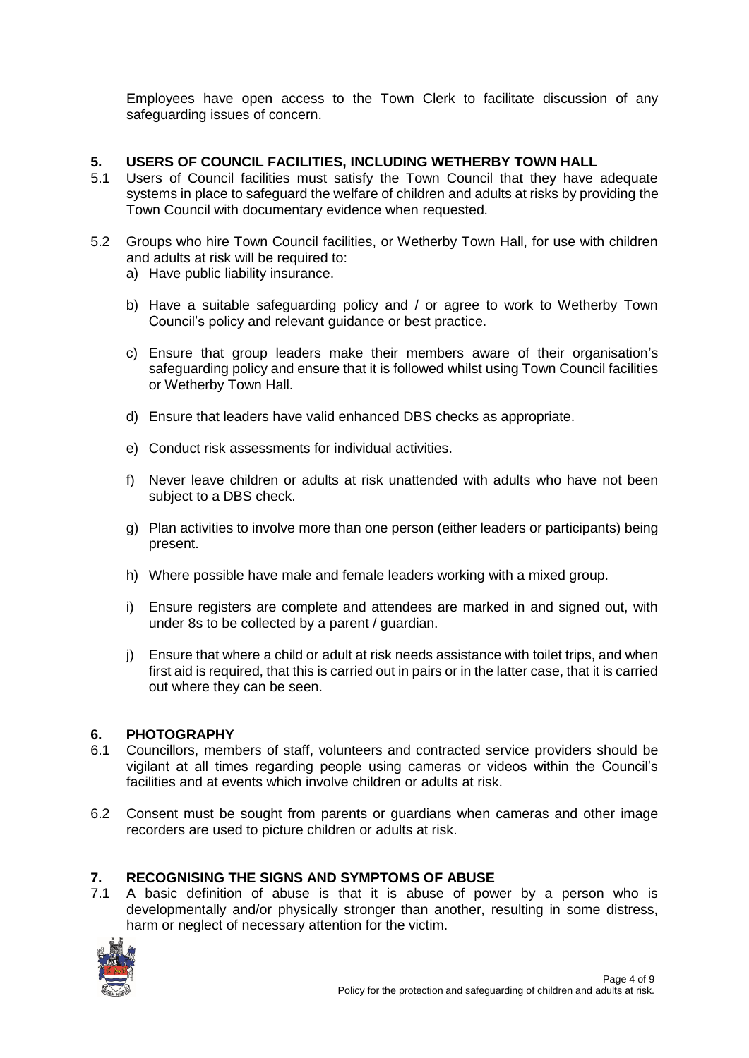Employees have open access to the Town Clerk to facilitate discussion of any safeguarding issues of concern.

#### **5. USERS OF COUNCIL FACILITIES, INCLUDING WETHERBY TOWN HALL**

- 5.1 Users of Council facilities must satisfy the Town Council that they have adequate systems in place to safeguard the welfare of children and adults at risks by providing the Town Council with documentary evidence when requested.
- 5.2 Groups who hire Town Council facilities, or Wetherby Town Hall, for use with children and adults at risk will be required to:
	- a) Have public liability insurance.
	- b) Have a suitable safeguarding policy and / or agree to work to Wetherby Town Council's policy and relevant guidance or best practice.
	- c) Ensure that group leaders make their members aware of their organisation's safeguarding policy and ensure that it is followed whilst using Town Council facilities or Wetherby Town Hall.
	- d) Ensure that leaders have valid enhanced DBS checks as appropriate.
	- e) Conduct risk assessments for individual activities.
	- f) Never leave children or adults at risk unattended with adults who have not been subject to a DBS check.
	- g) Plan activities to involve more than one person (either leaders or participants) being present.
	- h) Where possible have male and female leaders working with a mixed group.
	- i) Ensure registers are complete and attendees are marked in and signed out, with under 8s to be collected by a parent / guardian.
	- j) Ensure that where a child or adult at risk needs assistance with toilet trips, and when first aid is required, that this is carried out in pairs or in the latter case, that it is carried out where they can be seen.

#### **6. PHOTOGRAPHY**

- 6.1 Councillors, members of staff, volunteers and contracted service providers should be vigilant at all times regarding people using cameras or videos within the Council's facilities and at events which involve children or adults at risk.
- 6.2 Consent must be sought from parents or guardians when cameras and other image recorders are used to picture children or adults at risk.

#### **7. RECOGNISING THE SIGNS AND SYMPTOMS OF ABUSE**

7.1 A basic definition of abuse is that it is abuse of power by a person who is developmentally and/or physically stronger than another, resulting in some distress, harm or neglect of necessary attention for the victim.

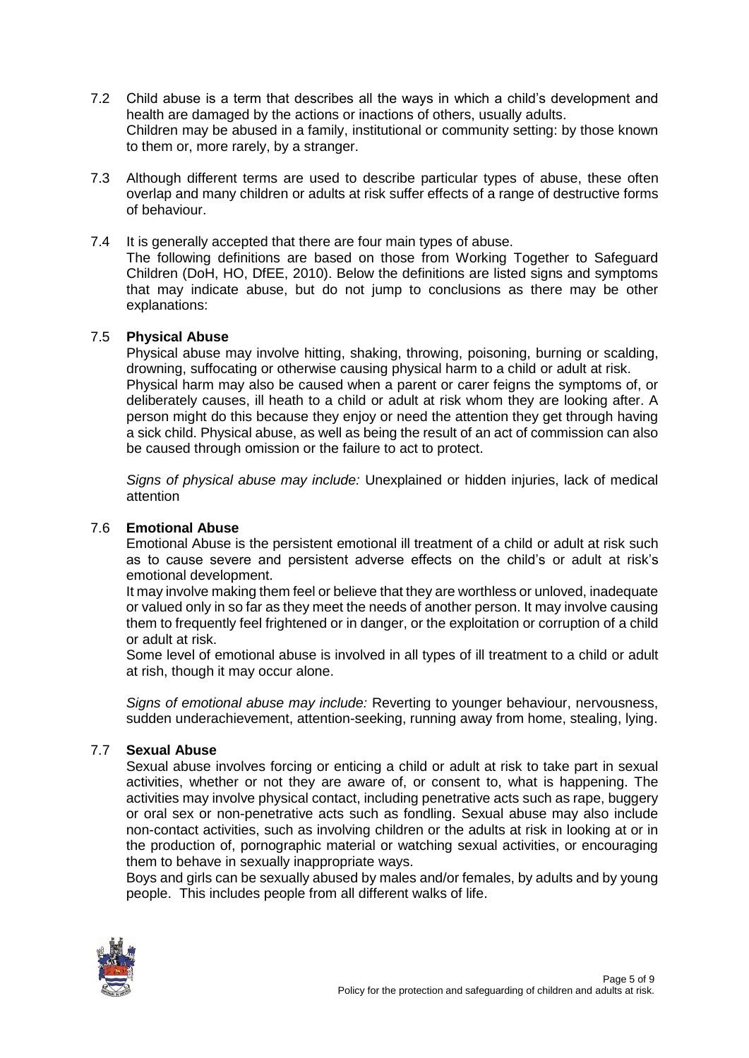- 7.2 Child abuse is a term that describes all the ways in which a child's development and health are damaged by the actions or inactions of others, usually adults. Children may be abused in a family, institutional or community setting: by those known to them or, more rarely, by a stranger.
- 7.3 Although different terms are used to describe particular types of abuse, these often overlap and many children or adults at risk suffer effects of a range of destructive forms of behaviour.

#### 7.4 It is generally accepted that there are four main types of abuse.

The following definitions are based on those from Working Together to Safeguard Children (DoH, HO, DfEE, 2010). Below the definitions are listed signs and symptoms that may indicate abuse, but do not jump to conclusions as there may be other explanations:

#### 7.5 **Physical Abuse**

Physical abuse may involve hitting, shaking, throwing, poisoning, burning or scalding, drowning, suffocating or otherwise causing physical harm to a child or adult at risk. Physical harm may also be caused when a parent or carer feigns the symptoms of, or deliberately causes, ill heath to a child or adult at risk whom they are looking after. A person might do this because they enjoy or need the attention they get through having a sick child. Physical abuse, as well as being the result of an act of commission can also be caused through omission or the failure to act to protect.

*Signs of physical abuse may include:* Unexplained or hidden injuries, lack of medical attention

#### 7.6 **Emotional Abuse**

Emotional Abuse is the persistent emotional ill treatment of a child or adult at risk such as to cause severe and persistent adverse effects on the child's or adult at risk's emotional development.

It may involve making them feel or believe that they are worthless or unloved, inadequate or valued only in so far as they meet the needs of another person. It may involve causing them to frequently feel frightened or in danger, or the exploitation or corruption of a child or adult at risk.

Some level of emotional abuse is involved in all types of ill treatment to a child or adult at rish, though it may occur alone.

*Signs of emotional abuse may include:* Reverting to younger behaviour, nervousness, sudden underachievement, attention-seeking, running away from home, stealing, lying.

#### 7.7 **Sexual Abuse**

Sexual abuse involves forcing or enticing a child or adult at risk to take part in sexual activities, whether or not they are aware of, or consent to, what is happening. The activities may involve physical contact, including penetrative acts such as rape, buggery or oral sex or non-penetrative acts such as fondling. Sexual abuse may also include non-contact activities, such as involving children or the adults at risk in looking at or in the production of, pornographic material or watching sexual activities, or encouraging them to behave in sexually inappropriate ways.

Boys and girls can be sexually abused by males and/or females, by adults and by young people. This includes people from all different walks of life.

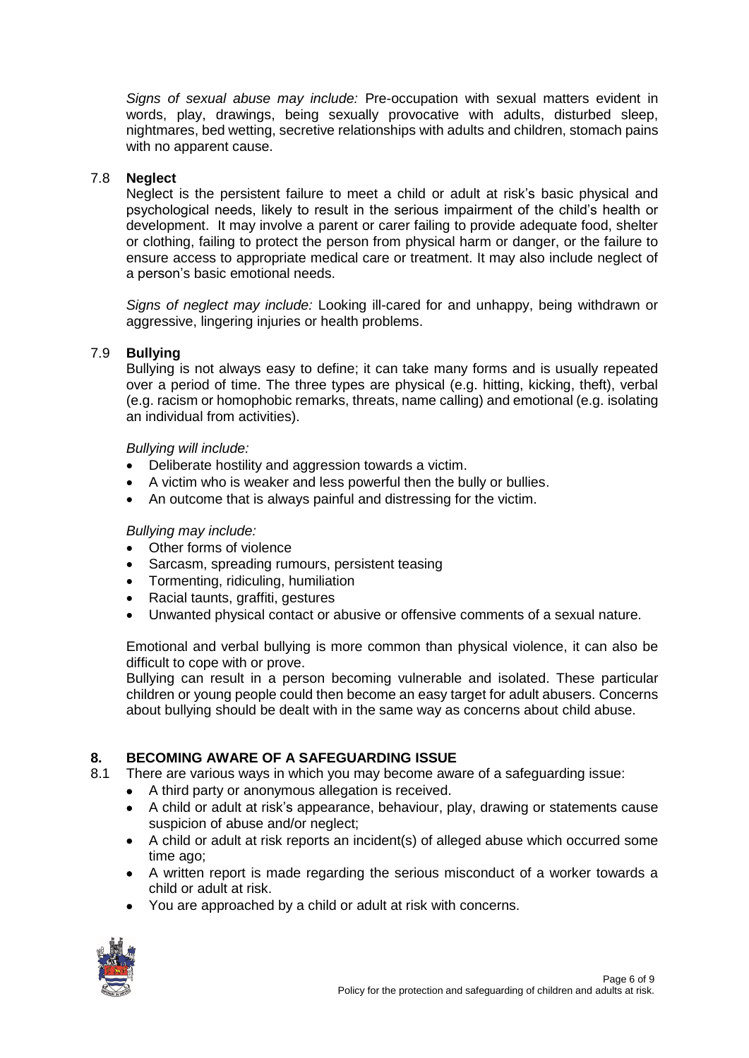*Signs of sexual abuse may include:* Pre-occupation with sexual matters evident in words, play, drawings, being sexually provocative with adults, disturbed sleep, nightmares, bed wetting, secretive relationships with adults and children, stomach pains with no apparent cause.

#### 7.8 **Neglect**

Neglect is the persistent failure to meet a child or adult at risk's basic physical and psychological needs, likely to result in the serious impairment of the child's health or development. It may involve a parent or carer failing to provide adequate food, shelter or clothing, failing to protect the person from physical harm or danger, or the failure to ensure access to appropriate medical care or treatment. It may also include neglect of a person's basic emotional needs.

*Signs of neglect may include:* Looking ill-cared for and unhappy, being withdrawn or aggressive, lingering injuries or health problems.

#### 7.9 **Bullying**

Bullying is not always easy to define; it can take many forms and is usually repeated over a period of time. The three types are physical (e.g. hitting, kicking, theft), verbal (e.g. racism or homophobic remarks, threats, name calling) and emotional (e.g. isolating an individual from activities).

#### *Bullying will include:*

- Deliberate hostility and aggression towards a victim.
- A victim who is weaker and less powerful then the bully or bullies.
- An outcome that is always painful and distressing for the victim.

#### *Bullying may include:*

- Other forms of violence
- Sarcasm, spreading rumours, persistent teasing
- Tormenting, ridiculing, humiliation
- Racial taunts, graffiti, gestures
- Unwanted physical contact or abusive or offensive comments of a sexual nature.

Emotional and verbal bullying is more common than physical violence, it can also be difficult to cope with or prove.

Bullying can result in a person becoming vulnerable and isolated. These particular children or young people could then become an easy target for adult abusers. Concerns about bullying should be dealt with in the same way as concerns about child abuse.

# **8. BECOMING AWARE OF A SAFEGUARDING ISSUE**

- 8.1 There are various ways in which you may become aware of a safeguarding issue:
	- A third party or anonymous allegation is received.
	- A child or adult at risk's appearance, behaviour, play, drawing or statements cause suspicion of abuse and/or neglect;
	- A child or adult at risk reports an incident(s) of alleged abuse which occurred some time ago;
	- A written report is made regarding the serious misconduct of a worker towards a child or adult at risk.
	- You are approached by a child or adult at risk with concerns.

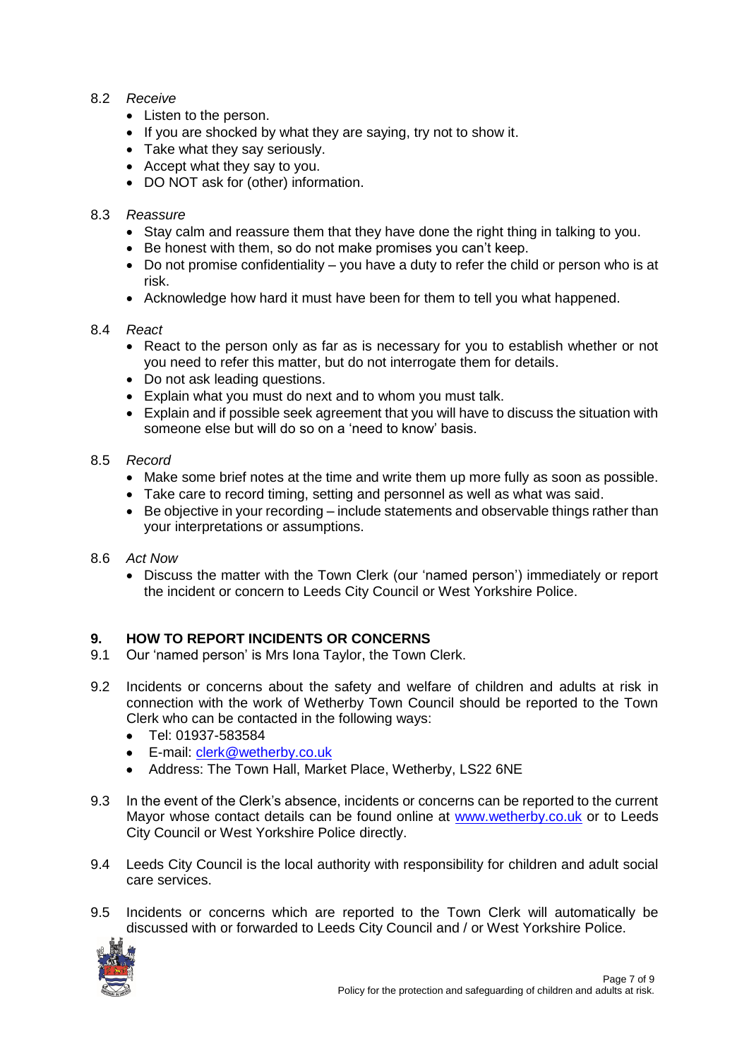#### 8.2 *Receive*

- Listen to the person.
- If you are shocked by what they are saying, try not to show it.
- Take what they say seriously.
- Accept what they say to you.
- DO NOT ask for (other) information.

# 8.3 *Reassure*

- Stay calm and reassure them that they have done the right thing in talking to you.
- Be honest with them, so do not make promises you can't keep.
- Do not promise confidentiality you have a duty to refer the child or person who is at risk.
- Acknowledge how hard it must have been for them to tell you what happened.

#### 8.4 *React*

- React to the person only as far as is necessary for you to establish whether or not you need to refer this matter, but do not interrogate them for details.
- Do not ask leading questions.
- Explain what you must do next and to whom you must talk.
- Explain and if possible seek agreement that you will have to discuss the situation with someone else but will do so on a 'need to know' basis.

#### 8.5 *Record*

- Make some brief notes at the time and write them up more fully as soon as possible.
- Take care to record timing, setting and personnel as well as what was said.
- Be objective in your recording include statements and observable things rather than your interpretations or assumptions.
- 8.6 *Act Now*
	- Discuss the matter with the Town Clerk (our 'named person') immediately or report the incident or concern to Leeds City Council or West Yorkshire Police.

# **9. HOW TO REPORT INCIDENTS OR CONCERNS**

- 9.1 Our 'named person' is Mrs Iona Taylor, the Town Clerk.
- 9.2 Incidents or concerns about the safety and welfare of children and adults at risk in connection with the work of Wetherby Town Council should be reported to the Town Clerk who can be contacted in the following ways:
	- Tel: 01937-583584
	- E-mail: [clerk@wetherby.co.uk](mailto:clerk@wetherby.co.uk)
	- Address: The Town Hall, Market Place, Wetherby, LS22 6NE
- 9.3 In the event of the Clerk's absence, incidents or concerns can be reported to the current Mayor whose contact details can be found online at [www.wetherby.co.uk](http://www.wetherby.co.uk/) or to Leeds City Council or West Yorkshire Police directly.
- 9.4 Leeds City Council is the local authority with responsibility for children and adult social care services.
- 9.5 Incidents or concerns which are reported to the Town Clerk will automatically be discussed with or forwarded to Leeds City Council and / or West Yorkshire Police.

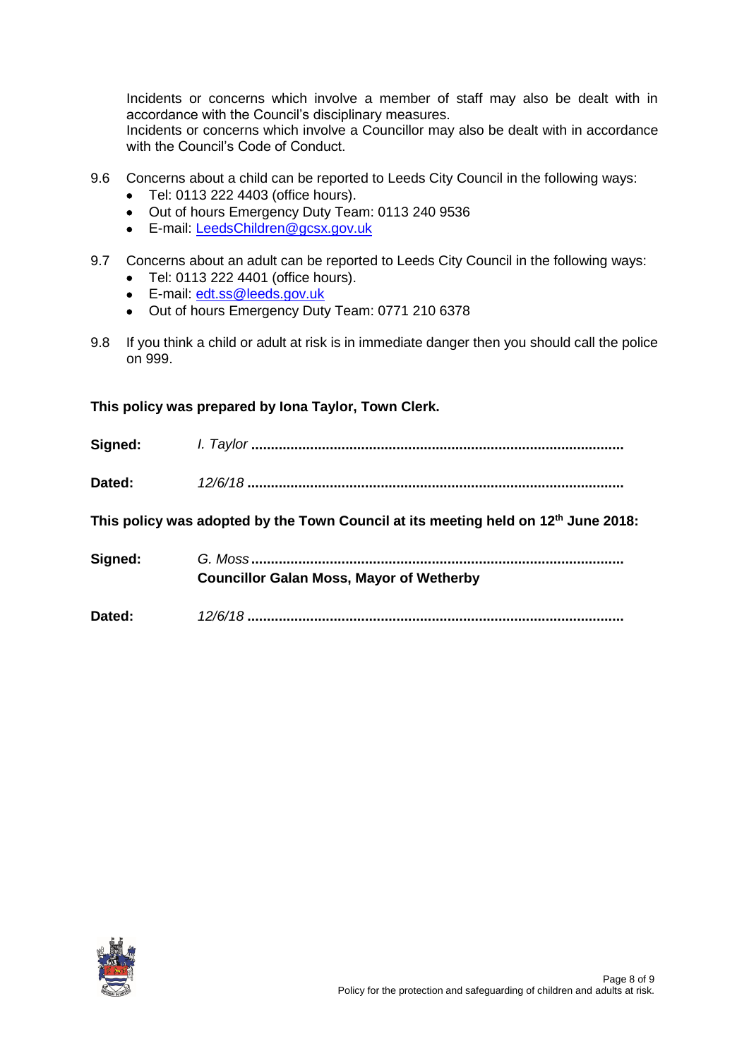Incidents or concerns which involve a member of staff may also be dealt with in accordance with the Council's disciplinary measures.

Incidents or concerns which involve a Councillor may also be dealt with in accordance with the Council's Code of Conduct.

- 9.6 Concerns about a child can be reported to Leeds City Council in the following ways:
	- Tel: 0113 222 4403 (office hours).
	- Out of hours Emergency Duty Team: 0113 240 9536
	- E-mail: [LeedsChildren@gcsx.gov.uk](mailto:LeedsChildren@gcsx.gov.uk)
- 9.7 Concerns about an adult can be reported to Leeds City Council in the following ways:
	- Tel: 0113 222 4401 (office hours).
	- E-mail: [edt.ss@leeds.gov.uk](mailto:edt.ss@leeds.gov.uk)
	- Out of hours Emergency Duty Team: 0771 210 6378
- 9.8 If you think a child or adult at risk is in immediate danger then you should call the police on 999.

#### **This policy was prepared by Iona Taylor, Town Clerk.**

| Signed: |  |
|---------|--|
| Dated:  |  |

**This policy was adopted by the Town Council at its meeting held on 12th June 2018:**

- **Signed:** *G. Moss* **............................................................................................... Councillor Galan Moss, Mayor of Wetherby**
- **Dated:** *12/6/18* **................................................................................................**